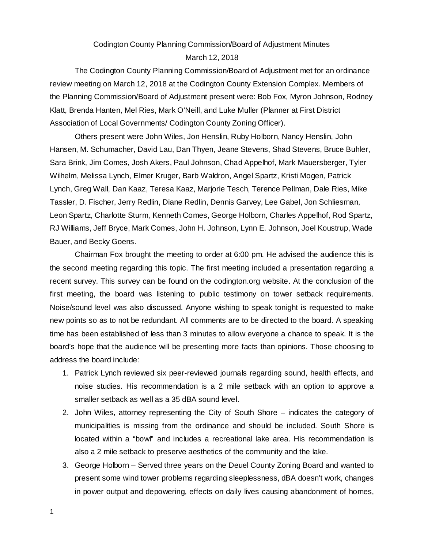## Codington County Planning Commission/Board of Adjustment Minutes March 12, 2018

The Codington County Planning Commission/Board of Adjustment met for an ordinance review meeting on March 12, 2018 at the Codington County Extension Complex. Members of the Planning Commission/Board of Adjustment present were: Bob Fox, Myron Johnson, Rodney Klatt, Brenda Hanten, Mel Ries, Mark O'Neill, and Luke Muller (Planner at First District Association of Local Governments/ Codington County Zoning Officer).

Others present were John Wiles, Jon Henslin, Ruby Holborn, Nancy Henslin, John Hansen, M. Schumacher, David Lau, Dan Thyen, Jeane Stevens, Shad Stevens, Bruce Buhler, Sara Brink, Jim Comes, Josh Akers, Paul Johnson, Chad Appelhof, Mark Mauersberger, Tyler Wilhelm, Melissa Lynch, Elmer Kruger, Barb Waldron, Angel Spartz, Kristi Mogen, Patrick Lynch, Greg Wall, Dan Kaaz, Teresa Kaaz, Marjorie Tesch, Terence Pellman, Dale Ries, Mike Tassler, D. Fischer, Jerry Redlin, Diane Redlin, Dennis Garvey, Lee Gabel, Jon Schliesman, Leon Spartz, Charlotte Sturm, Kenneth Comes, George Holborn, Charles Appelhof, Rod Spartz, RJ Williams, Jeff Bryce, Mark Comes, John H. Johnson, Lynn E. Johnson, Joel Koustrup, Wade Bauer, and Becky Goens.

Chairman Fox brought the meeting to order at 6:00 pm. He advised the audience this is the second meeting regarding this topic. The first meeting included a presentation regarding a recent survey. This survey can be found on the codington.org website. At the conclusion of the first meeting, the board was listening to public testimony on tower setback requirements. Noise/sound level was also discussed. Anyone wishing to speak tonight is requested to make new points so as to not be redundant. All comments are to be directed to the board. A speaking time has been established of less than 3 minutes to allow everyone a chance to speak. It is the board's hope that the audience will be presenting more facts than opinions. Those choosing to address the board include:

- 1. Patrick Lynch reviewed six peer-reviewed journals regarding sound, health effects, and noise studies. His recommendation is a 2 mile setback with an option to approve a smaller setback as well as a 35 dBA sound level.
- 2. John Wiles, attorney representing the City of South Shore indicates the category of municipalities is missing from the ordinance and should be included. South Shore is located within a "bowl" and includes a recreational lake area. His recommendation is also a 2 mile setback to preserve aesthetics of the community and the lake.
- 3. George Holborn Served three years on the Deuel County Zoning Board and wanted to present some wind tower problems regarding sleeplessness, dBA doesn't work, changes in power output and depowering, effects on daily lives causing abandonment of homes,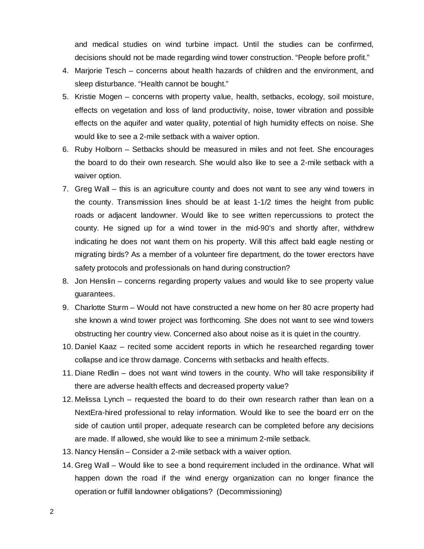and medical studies on wind turbine impact. Until the studies can be confirmed, decisions should not be made regarding wind tower construction. "People before profit."

- 4. Marjorie Tesch concerns about health hazards of children and the environment, and sleep disturbance. "Health cannot be bought."
- 5. Kristie Mogen concerns with property value, health, setbacks, ecology, soil moisture, effects on vegetation and loss of land productivity, noise, tower vibration and possible effects on the aquifer and water quality, potential of high humidity effects on noise. She would like to see a 2-mile setback with a waiver option.
- 6. Ruby Holborn Setbacks should be measured in miles and not feet. She encourages the board to do their own research. She would also like to see a 2-mile setback with a waiver option.
- 7. Greg Wall this is an agriculture county and does not want to see any wind towers in the county. Transmission lines should be at least 1-1/2 times the height from public roads or adjacent landowner. Would like to see written repercussions to protect the county. He signed up for a wind tower in the mid-90's and shortly after, withdrew indicating he does not want them on his property. Will this affect bald eagle nesting or migrating birds? As a member of a volunteer fire department, do the tower erectors have safety protocols and professionals on hand during construction?
- 8. Jon Henslin concerns regarding property values and would like to see property value guarantees.
- 9. Charlotte Sturm Would not have constructed a new home on her 80 acre property had she known a wind tower project was forthcoming. She does not want to see wind towers obstructing her country view. Concerned also about noise as it is quiet in the country.
- 10. Daniel Kaaz recited some accident reports in which he researched regarding tower collapse and ice throw damage. Concerns with setbacks and health effects.
- 11. Diane Redlin does not want wind towers in the county. Who will take responsibility if there are adverse health effects and decreased property value?
- 12. Melissa Lynch requested the board to do their own research rather than lean on a NextEra-hired professional to relay information. Would like to see the board err on the side of caution until proper, adequate research can be completed before any decisions are made. If allowed, she would like to see a minimum 2-mile setback.
- 13. Nancy Henslin Consider a 2-mile setback with a waiver option.
- 14. Greg Wall Would like to see a bond requirement included in the ordinance. What will happen down the road if the wind energy organization can no longer finance the operation or fulfill landowner obligations? (Decommissioning)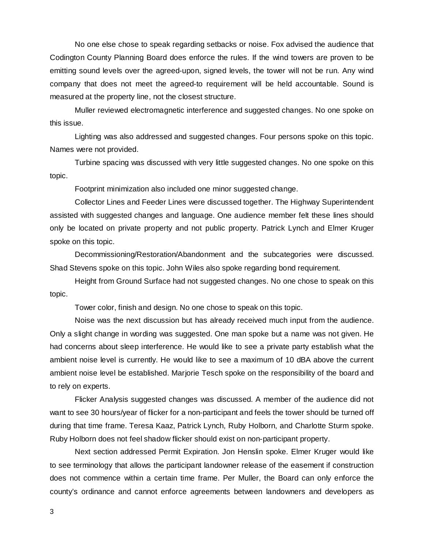No one else chose to speak regarding setbacks or noise. Fox advised the audience that Codington County Planning Board does enforce the rules. If the wind towers are proven to be emitting sound levels over the agreed-upon, signed levels, the tower will not be run. Any wind company that does not meet the agreed-to requirement will be held accountable. Sound is measured at the property line, not the closest structure.

Muller reviewed electromagnetic interference and suggested changes. No one spoke on this issue.

Lighting was also addressed and suggested changes. Four persons spoke on this topic. Names were not provided.

Turbine spacing was discussed with very little suggested changes. No one spoke on this topic.

Footprint minimization also included one minor suggested change.

Collector Lines and Feeder Lines were discussed together. The Highway Superintendent assisted with suggested changes and language. One audience member felt these lines should only be located on private property and not public property. Patrick Lynch and Elmer Kruger spoke on this topic.

Decommissioning/Restoration/Abandonment and the subcategories were discussed. Shad Stevens spoke on this topic. John Wiles also spoke regarding bond requirement.

Height from Ground Surface had not suggested changes. No one chose to speak on this topic.

Tower color, finish and design. No one chose to speak on this topic.

Noise was the next discussion but has already received much input from the audience. Only a slight change in wording was suggested. One man spoke but a name was not given. He had concerns about sleep interference. He would like to see a private party establish what the ambient noise level is currently. He would like to see a maximum of 10 dBA above the current ambient noise level be established. Marjorie Tesch spoke on the responsibility of the board and to rely on experts.

Flicker Analysis suggested changes was discussed. A member of the audience did not want to see 30 hours/year of flicker for a non-participant and feels the tower should be turned off during that time frame. Teresa Kaaz, Patrick Lynch, Ruby Holborn, and Charlotte Sturm spoke. Ruby Holborn does not feel shadow flicker should exist on non-participant property.

Next section addressed Permit Expiration. Jon Henslin spoke. Elmer Kruger would like to see terminology that allows the participant landowner release of the easement if construction does not commence within a certain time frame. Per Muller, the Board can only enforce the county's ordinance and cannot enforce agreements between landowners and developers as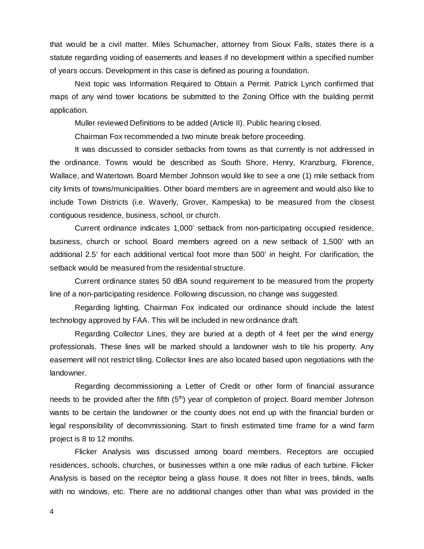that would be a civil matter. Miles Schumacher, attorney from Sioux Falls, states there is a statute regarding voiding of easements and leases if no development within a specified number of years occurs. Development in this case is defined as pouring a foundation.

Next topic was Information Required to Obtain a Permit. Patrick Lynch confirmed that maps of any wind tower locations be submitted to the Zoning Office with the building permit application.

Muller reviewed Definitions to be added (Article II). Public hearing closed.

Chairman Fox recommended a two minute break before proceeding.

It was discussed to consider setbacks from towns as that currently is not addressed in the ordinance. Towns would be described as South Shore, Henry, Kranzburg, Florence, Wallace, and Watertown. Board Member Johnson would like to see a one (1) mile setback from city limits of towns/municipalities. Other board members are in agreement and would also like to include Town Districts (i.e. Waverly, Grover, Kampeska) to be measured from the closest contiguous residence, business, school, or church.

Current ordinance indicates 1,000' setback from non-participating occupied residence, business, church or school. Board members agreed on a new setback of 1,500' with an additional 2.5' for each additional vertical foot more than 500' in height. For clarification, the setback would be measured from the residential structure.

Current ordinance states 50 dBA sound requirement to be measured from the property line of a non-participating residence. Following discussion, no change was suggested.

Regarding lighting, Chairman Fox indicated our ordinance should include the latest technology approved by FAA. This will be included in new ordinance draft.

Regarding Collector Lines, they are buried at a depth of 4 feet per the wind energy professionals. These lines will be marked should a landowner wish to tile his property. Any easement will not restrict tiling. Collector lines are also located based upon negotiations with the landowner.

Regarding decommissioning a Letter of Credit or other form of financial assurance needs to be provided after the fifth (5<sup>th</sup>) year of completion of project. Board member Johnson wants to be certain the landowner or the county does not end up with the financial burden or legal responsibility of decommissioning. Start to finish estimated time frame for a wind farm project is 8 to 12 months.

Flicker Analysis was discussed among board members. Receptors are occupied residences, schools, churches, or businesses within a one mile radius of each turbine. Flicker Analysis is based on the receptor being a glass house. It does not filter in trees, blinds, walls with no windows, etc. There are no additional changes other than what was provided in the

4